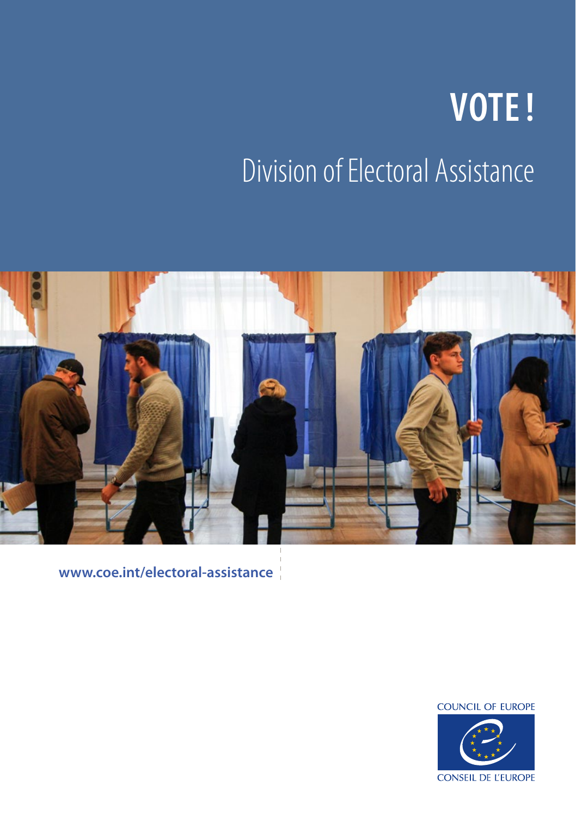# **VOTE!** Division of Electoral Assistance



**www.coe.int/electoral-assistance**

**COUNCIL OF EUROPE** 

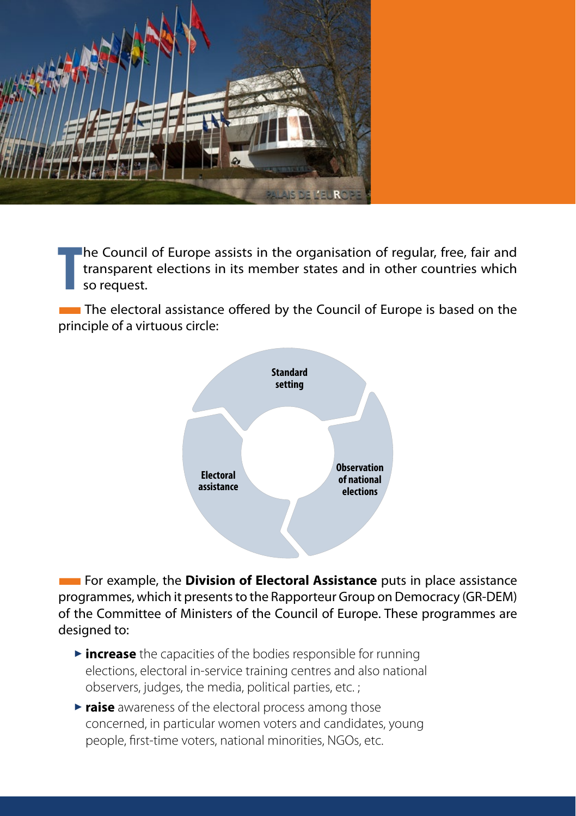

**T** he Council of Europe assists in the organisation of regular, free, fair and transparent elections in its member states and in other countries which so request.

**The electoral assistance offered by the Council of Europe is based on the** principle of a virtuous circle:



**EXECTED** For example, the **Division of Electoral Assistance** puts in place assistance programmes, which it presents to the Rapporteur Group on Democracy (GR-DEM) of the Committee of Ministers of the Council of Europe. These programmes are designed to:

- $\triangleright$  **increase** the capacities of the bodies responsible for running elections, electoral in-service training centres and also national observers, judges, the media, political parties, etc. ;
- **Praise** awareness of the electoral process among those concerned, in particular women voters and candidates, young people, first-time voters, national minorities, NGOs, etc.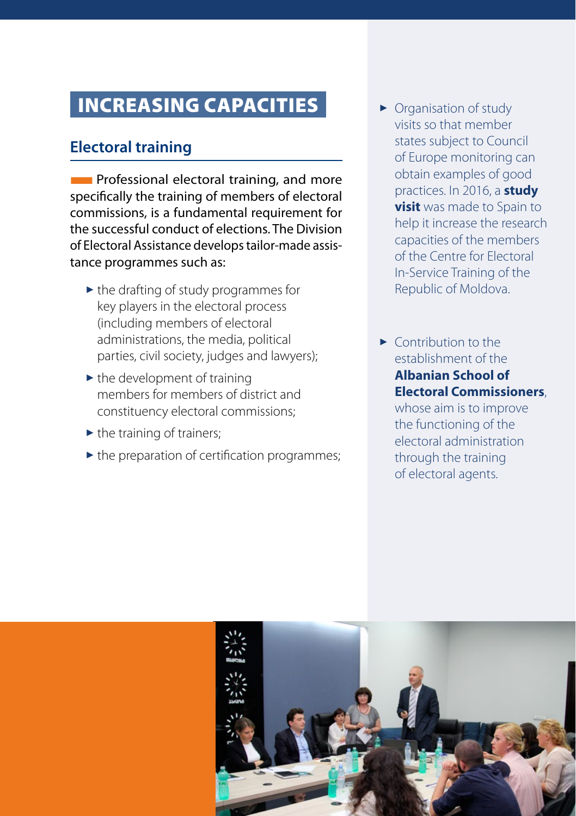## INCREASING CAPACITIES

## **Electoral training**

**Follo** Professional electoral training, and more specifically the training of members of electoral commissions, is a fundamental requirement for the successful conduct of elections. The Division of Electoral Assistance develops tailor-made assistance programmes such as:

- $\blacktriangleright$  the drafting of study programmes for key players in the electoral process (including members of electoral administrations, the media, political parties, civil society, judges and lawyers);
- $\blacktriangleright$  the development of training members for members of district and constituency electoral commissions;
- $\blacktriangleright$  the training of trainers;
- $\blacktriangleright$  the preparation of certification programmes;
- $\triangleright$  Organisation of study visits so that member states subject to Council of Europe monitoring can obtain examples of good practices. In 2016, a **study visit** was made to Spain to help it increase the research capacities of the members of the Centre for Electoral In-Service Training of the Republic of Moldova.
- $\blacktriangleright$  Contribution to the establishment of the **Albanian School of Electoral Commissioners**,

whose aim is to improve the functioning of the electoral administration through the training of electoral agents.

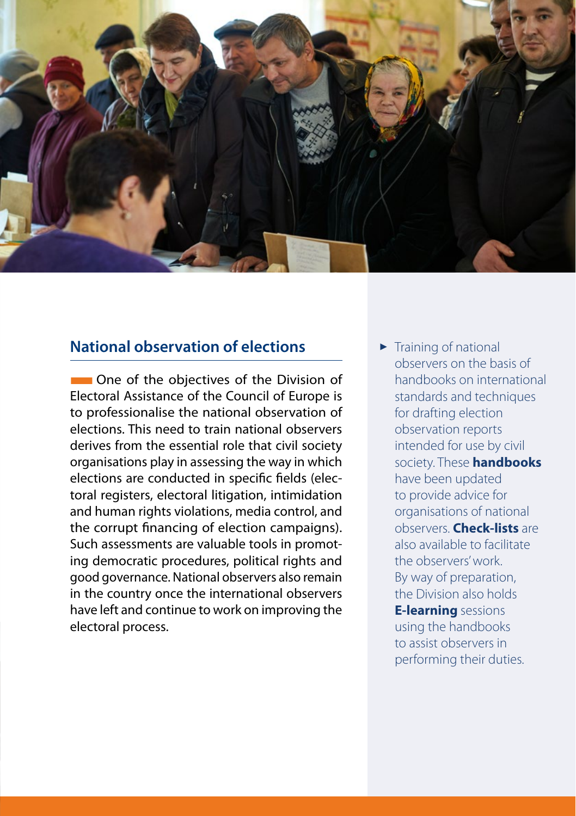

### **National observation of elections**

**THE One of the objectives of the Division of** Electoral Assistance of the Council of Europe is to professionalise the national observation of elections. This need to train national observers derives from the essential role that civil society organisations play in assessing the way in which elections are conducted in specific fields (electoral registers, electoral litigation, intimidation and human rights violations, media control, and the corrupt financing of election campaigns). Such assessments are valuable tools in promoting democratic procedures, political rights and good governance. National observers also remain in the country once the international observers have left and continue to work on improving the electoral process.

 $\blacktriangleright$  Training of national observers on the basis of handbooks on international standards and techniques for drafting election observation reports intended for use by civil society. These **handbooks** have been updated to provide advice for organisations of national observers. **Check-lists** are also available to facilitate the observers' work. By way of preparation, the Division also holds **E-learning** sessions using the handbooks to assist observers in performing their duties.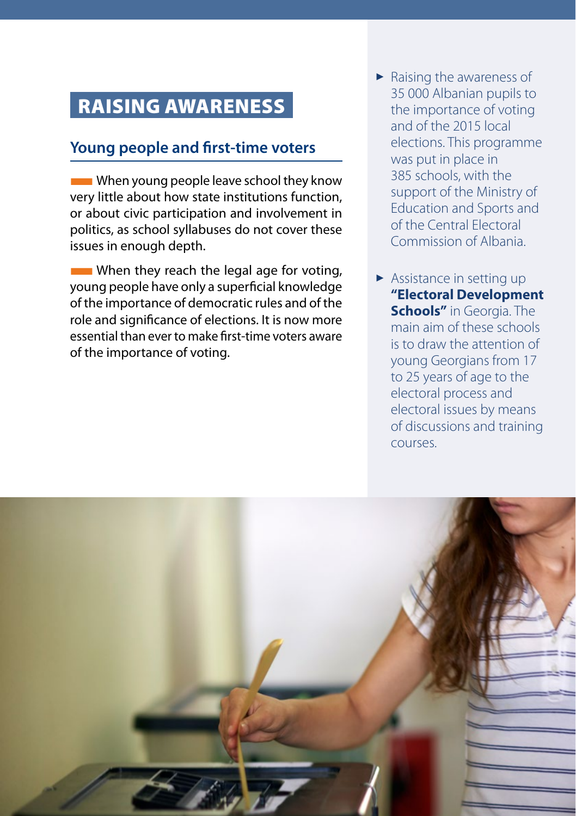## RAISING AWARENESS

## **Young people and first-time voters**

**EXECUTE:** When young people leave school they know very little about how state institutions function, or about civic participation and involvement in politics, as school syllabuses do not cover these issues in enough depth.

 $\blacksquare$  When they reach the legal age for voting, young people have only a superficial knowledge of the importance of democratic rules and of the role and significance of elections. It is now more essential than ever to make first-time voters aware of the importance of voting.

- $\blacktriangleright$  Raising the awareness of 35 000 Albanian pupils to the importance of voting and of the 2015 local elections. This programme was put in place in 385 schools, with the support of the Ministry of Education and Sports and of the Central Electoral Commission of Albania.
- $\blacktriangleright$  Assistance in setting up **"Electoral Development Schools"** in Georgia. The main aim of these schools is to draw the attention of young Georgians from 17 to 25 years of age to the electoral process and electoral issues by means of discussions and training courses.

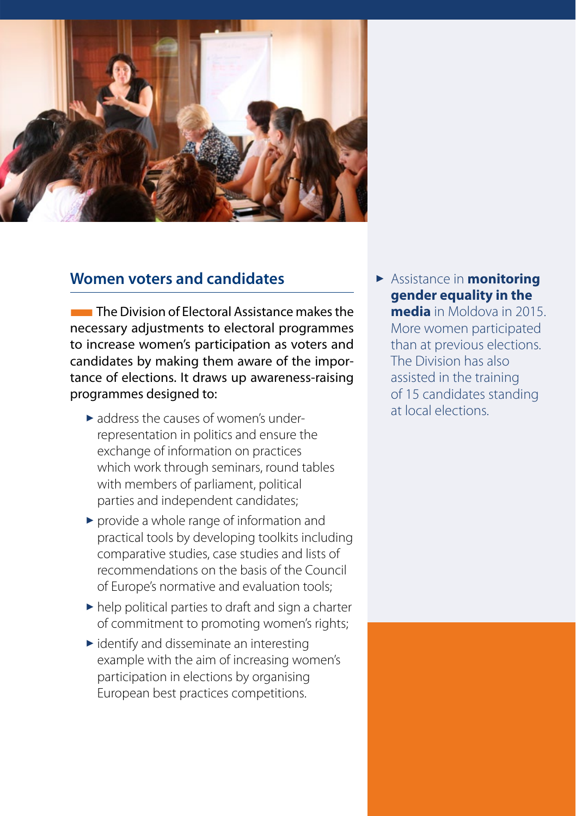

#### **Women voters and candidates**

**The Division of Electoral Assistance makes the** necessary adjustments to electoral programmes to increase women's participation as voters and candidates by making them aware of the importance of elections. It draws up awareness-raising programmes designed to:

- $\blacktriangleright$  address the causes of women's underrepresentation in politics and ensure the exchange of information on practices which work through seminars, round tables with members of parliament, political parties and independent candidates;
- $\triangleright$  provide a whole range of information and practical tools by developing toolkits including comparative studies, case studies and lists of recommendations on the basis of the Council of Europe's normative and evaluation tools;
- $\blacktriangleright$  help political parties to draft and sign a charter of commitment to promoting women's rights;
- $\blacktriangleright$  identify and disseminate an interesting example with the aim of increasing women's participation in elections by organising European best practices competitions.

 $\triangleright$  Assistance in **monitoring gender equality in the** 

**media** in Moldova in 2015. More women participated than at previous elections. The Division has also assisted in the training of 15 candidates standing at local elections.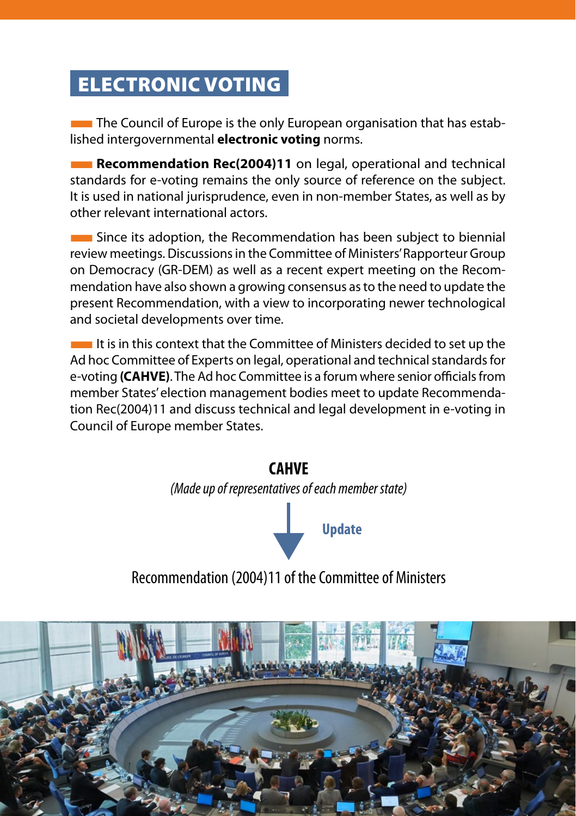## ELECTRONIC VOTING

**The Council of Europe is the only European organisation that has estab**lished intergovernmental **electronic voting** norms.

**Recommendation Rec(2004)11** on legal, operational and technical standards for e-voting remains the only source of reference on the subject. It is used in national jurisprudence, even in non-member States, as well as by other relevant international actors.

**EXTEDEE ITS ASSETS** Since its adoption, the Recommendation has been subject to biennial review meetings. Discussions in the Committee of Ministers' Rapporteur Group on Democracy (GR-DEM) as well as a recent expert meeting on the Recommendation have also shown a growing consensus as to the need to update the present Recommendation, with a view to incorporating newer technological and societal developments over time.

**If is in this context that the Committee of Ministers decided to set up the** Ad hoc Committee of Experts on legal, operational and technical standards for e-voting **(CAHVE)**. The Ad hoc Committee is a forum where senior officials from member States' election management bodies meet to update Recommendation Rec(2004)11 and discuss technical and legal development in e-voting in Council of Europe member States.

# **CAHVE** *(Made up of representatives of each member state)* **Update**

## Recommendation (2004)11 of the Committee of Ministers